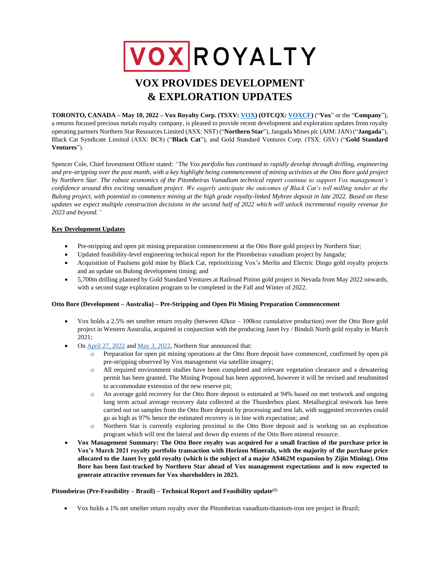# VOXROYALTY

# **VOX PROVIDES DEVELOPMENT & EXPLORATION UPDATES**

**TORONTO, CANADA – May 10, 2022 – Vox Royalty Corp. (TSXV[: VOX\)](https://money.tmx.com/en/quote/VOX) (OTCQX[: VOXC](https://money.tmx.com/en/quote/VOX)F)** ("**Vox**" or the "**Company**"), a returns focused precious metals royalty company, is pleased to provide recent development and exploration updates from royalty operating partners Northern Star Resources Limited (ASX: NST) ("**Northern Star**"), Jangada Mines plc (AIM: JAN) ("**Jangada**"), Black Cat Syndicate Limited (ASX: BC8) ("**Black Cat**"), and Gold Standard Ventures Corp. (TSX: GSV) ("**Gold Standard Ventures**").

Spencer Cole, Chief Investment Officer stated: *"The Vox portfolio has continued to rapidly develop through drilling, engineering and pre-stripping over the past month, with a key highlight being commencement of mining activities at the Otto Bore gold project by Northern Star. The robust economics of the Pitombeiras Vanadium technical report continue to support Vox management's confidence around this exciting vanadium project. We eagerly anticipate the outcomes of Black Cat's toll milling tender at the Bulong project, with potential to commence mining at the high grade royalty-linked Myhree deposit in late 2022. Based on these updates we expect multiple construction decisions in the second half of 2022 which will unlock incremental royalty revenue for 2023 and beyond."*

# **Key Development Updates**

- Pre-stripping and open pit mining preparation commencement at the Otto Bore gold project by Northern Star;
- Updated feasibility-level engineering technical report for the Pitombeiras vanadium project by Jangada;
- Acquisition of Paulsens gold mine by Black Cat, reprioritizing Vox's Merlin and Electric Dingo gold royalty projects and an update on Bulong development timing; and
- 5,700m drilling planned by Gold Standard Ventures at Railroad Pinion gold project in Nevada from May 2022 onwards, with a second stage exploration program to be completed in the Fall and Winter of 2022.

# **Otto Bore (Development – Australia) – Pre-Stripping and Open Pit Mining Preparation Commencement**

- Vox holds a 2.5% net smelter return royalty (between 42koz 100koz cumulative production) over the Otto Bore gold project in Western Australia, acquired in conjunction with the producing Janet Ivy / Binduli North gold royalty in March 2021;
- O[n April 27, 2022](https://www.nsrltd.com/investor-and-media/asx-announcements/2022/april/quarterly-activities-report-march-2022) an[d May 3, 2022,](https://cdn-api.markitdigital.com/apiman-gateway/ASX/asx-research/1.0/file/2924-02517331-6A1090087?access_token=83ff96335c2d45a094df02a206a39ff4) Northern Star announced that:
	- o Preparation for open pit mining operations at the Otto Bore deposit have commenced, confirmed by open pit pre-stripping observed by Vox management via satellite imagery;
	- o All required environment studies have been completed and relevant vegetation clearance and a dewatering permit has been granted. The Mining Proposal has been approved, however it will be revised and resubmitted to accommodate extension of the new reserve pit;
	- o An average gold recovery for the Otto Bore deposit is estimated at 94% based on met testwork and ongoing long term actual average recovery data collected at the Thunderbox plant. Metallurgical testwork has been carried out on samples from the Otto Bore deposit by processing and test lab, with suggested recoveries could go as high as 97% hence the estimated recovery is in line with expectation; and
	- o Northern Star is currently exploring proximal to the Otto Bore deposit and is working on an exploration program which will test the lateral and down dip extents of the Otto Bore mineral resource.
- **Vox Management Summary: The Otto Bore royalty was acquired for a small fraction of the purchase price in Vox's March 2021 royalty portfolio transaction with Horizon Minerals, with the majority of the purchase price allocated to the Janet Ivy gold royalty (which is the subject of a major A\$462M expansion by Zijin Mining). Otto Bore has been fast-tracked by Northern Star ahead of Vox management expectations and is now expected to generate attractive revenues for Vox shareholders in 2023.**

# **Pitombeiras (Pre-Feasibility – Brazil) – Technical Report and Feasibility update(1)**

• Vox holds a 1% net smelter return royalty over the Pitombeiras vanadium-titanium-iron ore project in Brazil;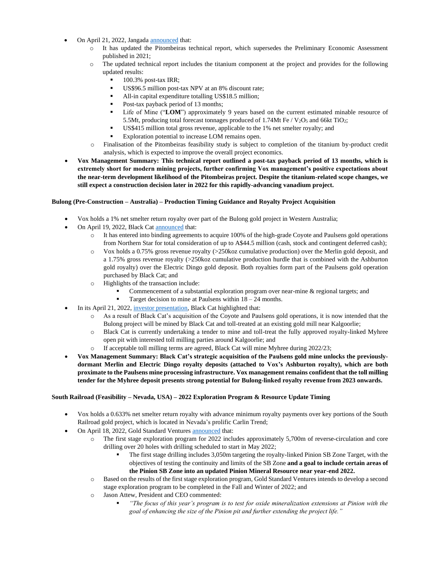- On April 21, 2022, Jangada [announced](https://polaris.brighterir.com/public/jangada_mines/news/rns/story/rd76z8r) that:
	- o It has updated the Pitombeiras technical report, which supersedes the Preliminary Economic Assessment published in 2021;
	- o The updated technical report includes the titanium component at the project and provides for the following updated results:
		- 100.3% post-tax IRR;
		- US\$96.5 million post-tax NPV at an 8% discount rate;
		- All-in capital expenditure totalling US\$18.5 million;
		- Post-tax payback period of 13 months;
		- Life of Mine ("LOM") approximately 9 years based on the current estimated minable resource of 5.5Mt, producing total forecast tonnages produced of 1.74Mt Fe /  $V_2O_5$  and 66kt TiO<sub>2</sub>;
		- US\$415 million total gross revenue, applicable to the 1% net smelter royalty; and
		- Exploration potential to increase LOM remains open.
	- o Finalisation of the Pitombeiras feasibility study is subject to completion of the titanium by-product credit analysis, which is expected to improve the overall project economics.
- **Vox Management Summary: This technical report outlined a post-tax payback period of 13 months, which is extremely short for modern mining projects, further confirming Vox management's positive expectations about the near-term development likelihood of the Pitombeiras project. Despite the titanium-related scope changes, we still expect a construction decision later in 2022 for this rapidly-advancing vanadium project.**

# **Bulong (Pre-Construction – Australia) – Production Timing Guidance and Royalty Project Acquisition**

- Vox holds a 1% net smelter return royalty over part of the Bulong gold project in Western Australia;
- On April 19, 2022, Black Ca[t announced](https://cdn-api.markitdigital.com/apiman-gateway/ASX/asx-research/1.0/file/2924-02511279_PS-6A1087034?access_token=83ff96335c2d45a094df02a206a39ff4) that:
	- o It has entered into binding agreements to acquire 100% of the high-grade Coyote and Paulsens gold operations from Northern Star for total consideration of up to A\$44.5 million (cash, stock and contingent deferred cash);
	- o Vox holds a 0.75% gross revenue royalty (>250koz cumulative production) over the Merlin gold deposit, and a 1.75% gross revenue royalty (>250koz cumulative production hurdle that is combined with the Ashburton gold royalty) over the Electric Dingo gold deposit. Both royalties form part of the Paulsens gold operation purchased by Black Cat; and
	- o Highlights of the transaction include:
		- Commencement of a substantial exploration program over near-mine & regional targets; and
		- Target decision to mine at Paulsens within  $18 24$  months.
- In its April 21, 2022, [investor presentation,](https://cdn-api.markitdigital.com/apiman-gateway/ASX/asx-research/1.0/file/2924-02512317-6A1087557?access_token=83ff96335c2d45a094df02a206a39ff4) Black Cat highlighted that:
	- o As a result of Black Cat's acquisition of the Coyote and Paulsens gold operations, it is now intended that the Bulong project will be mined by Black Cat and toll-treated at an existing gold mill near Kalgoorlie;
	- o Black Cat is currently undertaking a tender to mine and toll-treat the fully approved royalty-linked Myhree open pit with interested toll milling parties around Kalgoorlie; and
	- o If acceptable toll milling terms are agreed, Black Cat will mine Myhree during 2022/23;
- **Vox Management Summary: Black Cat's strategic acquisition of the Paulsens gold mine unlocks the previouslydormant Merlin and Electric Dingo royalty deposits (attached to Vox's Ashburton royalty), which are both proximate to the Paulsens mine processing infrastructure. Vox management remains confident that the toll milling tender for the Myhree deposit presents strong potential for Bulong-linked royalty revenue from 2023 onwards.**

# **South Railroad (Feasibility – Nevada, USA) – 2022 Exploration Program & Resource Update Timing**

- Vox holds a 0.633% net smelter return royalty with advance minimum royalty payments over key portions of the South Railroad gold project, which is located in Nevada's prolific Carlin Trend;
- On April 18, 2022, Gold Standard Venture[s announced](https://goldstandardv.com/news-releases/gold-standard-ventures-announces-2022-exploration-4162/) that:
	- o The first stage exploration program for 2022 includes approximately 5,700m of reverse-circulation and core drilling over 20 holes with drilling scheduled to start in May 2022;
		- The first stage drilling includes 3,050m targeting the royalty-linked Pinion SB Zone Target, with the objectives of testing the continuity and limits of the SB Zone **and a goal to include certain areas of the Pinion SB Zone into an updated Pinion Mineral Resource near year-end 2022.**
	- o Based on the results of the first stage exploration program, Gold Standard Ventures intends to develop a second stage exploration program to be completed in the Fall and Winter of 2022; and
	- o Jason Attew, President and CEO commented:
		- *"The focus of this year's program is to test for oxide mineralization extensions at Pinion with the goal of enhancing the size of the Pinion pit and further extending the project life."*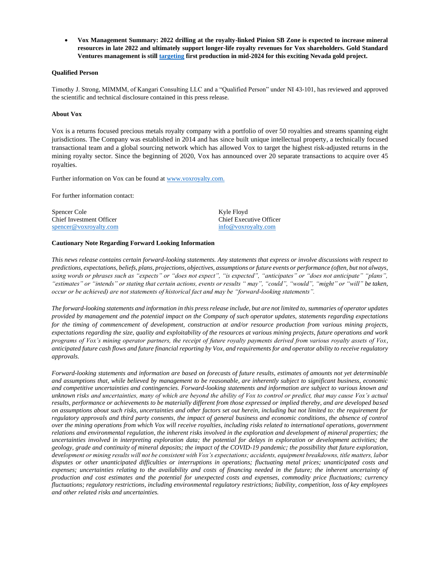• **Vox Management Summary: 2022 drilling at the royalty-linked Pinion SB Zone is expected to increase mineral resources in late 2022 and ultimately support longer-life royalty revenues for Vox shareholders. Gold Standard Ventures management is stil[l targeting](https://goldstandardv.com/site/assets/files/6177/gsv_corp_pres_-_bmo_mining_conference.pdf) first production in mid-2024 for this exciting Nevada gold project.**

#### **Qualified Person**

Timothy J. Strong, MIMMM, of Kangari Consulting LLC and a "Qualified Person" under NI 43-101, has reviewed and approved the scientific and technical disclosure contained in this press release.

#### **About Vox**

Vox is a returns focused precious metals royalty company with a portfolio of over 50 royalties and streams spanning eight jurisdictions. The Company was established in 2014 and has since built unique intellectual property, a technically focused transactional team and a global sourcing network which has allowed Vox to target the highest risk-adjusted returns in the mining royalty sector. Since the beginning of 2020, Vox has announced over 20 separate transactions to acquire over 45 royalties.

Further information on Vox can be found at [www.voxroyalty.com.](http://www.voxroyalty.com/) 

For further information contact:

Spencer Cole Kyle Floyd Chief Investment Officer Chief Executive Officer [spencer@voxroyalty.com](mailto:spencer@voxroyalty.com) [info@voxroyalty.com](mailto:info@voxroyalty.com) info@voxroyalty.com

#### **Cautionary Note Regarding Forward Looking Information**

*This news release contains certain forward-looking statements. Any statements that express or involve discussions with respect to predictions, expectations, beliefs, plans, projections, objectives, assumptions or future events or performance (often, but not always, using words or phrases such as "expects" or "does not expect", "is expected", "anticipates" or "does not anticipate" "plans", "estimates" or "intends" or stating that certain actions, events or results " may", "could", "would", "might" or "will" be taken, occur or be achieved) are not statements of historical fact and may be "forward-looking statements".* 

*The forward-looking statements and information in this press release include, but are not limited to, summaries of operator updates provided by management and the potential impact on the Company of such operator updates, statements regarding expectations for the timing of commencement of development, construction at and/or resource production from various mining projects, expectations regarding the size, quality and exploitability of the resources at various mining projects, future operations and work programs of Vox's mining operator partners, the receipt of future royalty payments derived from various royalty assets of Vox, anticipated future cash flows and future financial reporting by Vox, and requirements for and operator ability to receive regulatory approvals.* 

*Forward-looking statements and information are based on forecasts of future results, estimates of amounts not yet determinable and assumptions that, while believed by management to be reasonable, are inherently subject to significant business, economic and competitive uncertainties and contingencies. Forward-looking statements and information are subject to various known and unknown risks and uncertainties, many of which are beyond the ability of Vox to control or predict, that may cause Vox's actual results, performance or achievements to be materially different from those expressed or implied thereby, and are developed based on assumptions about such risks, uncertainties and other factors set out herein, including but not limited to: the requirement for regulatory approvals and third party consents, the impact of general business and economic conditions, the absence of control over the mining operations from which Vox will receive royalties, including risks related to international operations, government relations and environmental regulation, the inherent risks involved in the exploration and development of mineral properties; the uncertainties involved in interpreting exploration data; the potential for delays in exploration or development activities; the geology, grade and continuity of mineral deposits; the impact of the COVID-19 pandemic; the possibility that future exploration, development or mining results will not be consistent with Vox's expectations; accidents, equipment breakdowns, title matters, labor disputes or other unanticipated difficulties or interruptions in operations; fluctuating metal prices; unanticipated costs and expenses; uncertainties relating to the availability and costs of financing needed in the future; the inherent uncertainty of production and cost estimates and the potential for unexpected costs and expenses, commodity price fluctuations; currency fluctuations; regulatory restrictions, including environmental regulatory restrictions; liability, competition, loss of key employees and other related risks and uncertainties.*